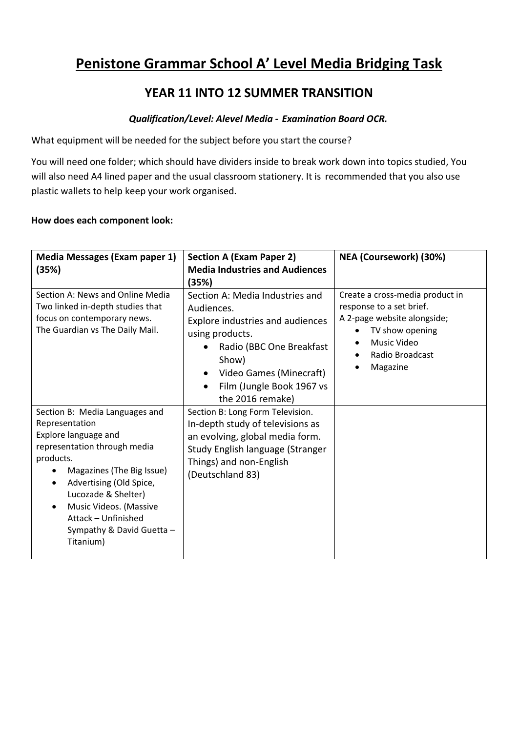# **Penistone Grammar School A' Level Media Bridging Task**

## **YEAR 11 INTO 12 SUMMER TRANSITION**

#### *Qualification/Level: Alevel Media - Examination Board OCR.*

What equipment will be needed for the subject before you start the course?

You will need one folder; which should have dividers inside to break work down into topics studied, You will also need A4 lined paper and the usual classroom stationery. It is recommended that you also use plastic wallets to help keep your work organised.

#### **How does each component look:**

| <b>Media Messages (Exam paper 1)</b>                                                                                                                                                                                                                                                            | <b>Section A (Exam Paper 2)</b>                                                                                                                                                                                                                                                                                                                                                                                                             | NEA (Coursework) (30%) |
|-------------------------------------------------------------------------------------------------------------------------------------------------------------------------------------------------------------------------------------------------------------------------------------------------|---------------------------------------------------------------------------------------------------------------------------------------------------------------------------------------------------------------------------------------------------------------------------------------------------------------------------------------------------------------------------------------------------------------------------------------------|------------------------|
| (35%)                                                                                                                                                                                                                                                                                           | <b>Media Industries and Audiences</b>                                                                                                                                                                                                                                                                                                                                                                                                       |                        |
| Section A: News and Online Media<br>Two linked in-depth studies that<br>focus on contemporary news.<br>The Guardian vs The Daily Mail.                                                                                                                                                          | (35%)<br>Create a cross-media product in<br>Section A: Media Industries and<br>response to a set brief.<br>Audiences.<br>A 2-page website alongside;<br><b>Explore industries and audiences</b><br>TV show opening<br>using products.<br>Music Video<br>Radio (BBC One Breakfast<br>Radio Broadcast<br>Show)<br>Magazine<br>$\bullet$<br>Video Games (Minecraft)<br>$\bullet$<br>Film (Jungle Book 1967 vs<br>$\bullet$<br>the 2016 remake) |                        |
| Section B: Media Languages and<br>Representation<br>Explore language and<br>representation through media<br>products.<br>Magazines (The Big Issue)<br>Advertising (Old Spice,<br>Lucozade & Shelter)<br>Music Videos. (Massive<br>Attack - Unfinished<br>Sympathy & David Guetta -<br>Titanium) | Section B: Long Form Television.<br>In-depth study of televisions as<br>an evolving, global media form.<br>Study English language (Stranger<br>Things) and non-English<br>(Deutschland 83)                                                                                                                                                                                                                                                  |                        |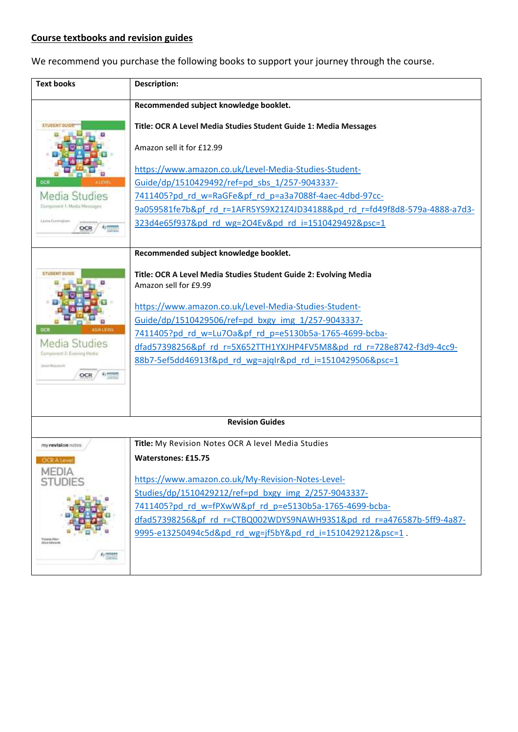## **Course textbooks and revision guides**

We recommend you purchase the following books to support your journey through the course.

| <b>Text books</b>                            | <b>Description:</b>                                                        |  |
|----------------------------------------------|----------------------------------------------------------------------------|--|
|                                              | Recommended subject knowledge booklet.                                     |  |
| STUDENT OUID                                 | Title: OCR A Level Media Studies Student Guide 1: Media Messages           |  |
|                                              | Amazon sell it for £12.99                                                  |  |
|                                              | https://www.amazon.co.uk/Level-Media-Studies-Student-                      |  |
|                                              | Guide/dp/1510429492/ref=pd sbs 1/257-9043337-                              |  |
| Media Studies<br>Component 1: Madia Messages | 7411405?pd rd w=RaGFe&pf rd p=a3a7088f-4aec-4dbd-97cc-                     |  |
|                                              | 9a059581fe7b&pf rd r=1AFR5YS9X21Z4JD34188&pd rd r=fd49f8d8-579a-4888-a7d3- |  |
| Levine Duestingtown<br>OCR                   | 323d4e65f937&pd rd wg=2O4Ev&pd rd i=1510429492&psc=1                       |  |
|                                              | Recommended subject knowledge booklet.                                     |  |
| <b>STUDENT GUID</b>                          | Title: OCR A Level Media Studies Student Guide 2: Evolving Media           |  |
|                                              | Amazon sell for £9.99                                                      |  |
|                                              | https://www.amazon.co.uk/Level-Media-Studies-Student-                      |  |
|                                              | Guide/dp/1510429506/ref=pd_bxgy_img_1/257-9043337-                         |  |
| OCR<br><b>ISIA LEVEL</b>                     | 7411405?pd_rd_w=Lu7Oa&pf_rd_p=e5130b5a-1765-4699-bcba-                     |  |
| Media Studies                                | dfad57398256&pf rd r=5X652TTH1YXJHP4FV5M8&pd rd r=728e8742-f3d9-4cc9-      |  |
| Component 2: Evelwing Media                  | 88b7-5ef5dd46913f&pd rd wg=ajqIr&pd rd i=1510429506&psc=1                  |  |
| Joseph Maanwicht<br>£1 H998<br>OCR           |                                                                            |  |
|                                              |                                                                            |  |
|                                              |                                                                            |  |
| <b>Revision Guides</b>                       |                                                                            |  |
| my revision notes                            | Title: My Revision Notes OCR A level Media Studies                         |  |
| <b>OCRAteve</b>                              | <b>Waterstones: £15.75</b>                                                 |  |
| <b>MEDIA</b><br><b>STUDIES</b>               | https://www.amazon.co.uk/My-Revision-Notes-Level-                          |  |
|                                              | Studies/dp/1510429212/ref=pd bxgy img 2/257-9043337-                       |  |
|                                              | 7411405?pd rd w=fPXwW&pf rd p=e5130b5a-1765-4699-bcba-                     |  |
|                                              | dfad57398256&pf rd r=CTBQ002WDYS9NAWH93S1&pd rd r=a476587b-5ff9-4a87-      |  |
|                                              | 9995-e13250494c5d&pd rd wg=jf5bY&pd rd i=1510429212&psc=1.                 |  |
| Victoria Alle<br>Mela Estegra                |                                                                            |  |
| A <sub>2</sub> HODGES                        |                                                                            |  |
|                                              |                                                                            |  |